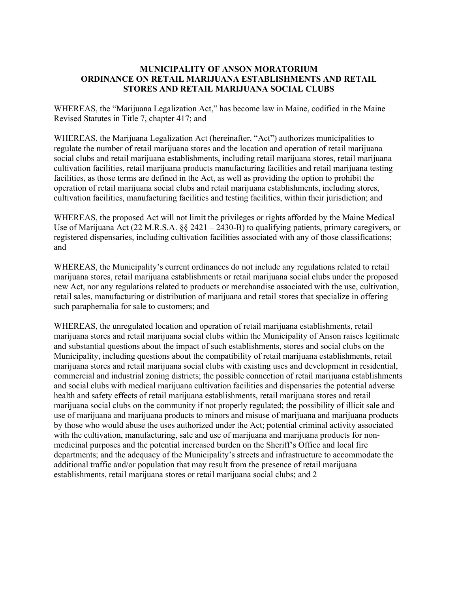## **MUNICIPALITY OF ANSON MORATORIUM ORDINANCE ON RETAIL MARIJUANA ESTABLISHMENTS AND RETAIL STORES AND RETAIL MARIJUANA SOCIAL CLUBS**

WHEREAS, the "Marijuana Legalization Act," has become law in Maine, codified in the Maine Revised Statutes in Title 7, chapter 417; and

WHEREAS, the Marijuana Legalization Act (hereinafter, "Act") authorizes municipalities to regulate the number of retail marijuana stores and the location and operation of retail marijuana social clubs and retail marijuana establishments, including retail marijuana stores, retail marijuana cultivation facilities, retail marijuana products manufacturing facilities and retail marijuana testing facilities, as those terms are defined in the Act, as well as providing the option to prohibit the operation of retail marijuana social clubs and retail marijuana establishments, including stores, cultivation facilities, manufacturing facilities and testing facilities, within their jurisdiction; and

WHEREAS, the proposed Act will not limit the privileges or rights afforded by the Maine Medical Use of Marijuana Act (22 M.R.S.A. §§ 2421 – 2430-B) to qualifying patients, primary caregivers, or registered dispensaries, including cultivation facilities associated with any of those classifications; and

WHEREAS, the Municipality's current ordinances do not include any regulations related to retail marijuana stores, retail marijuana establishments or retail marijuana social clubs under the proposed new Act, nor any regulations related to products or merchandise associated with the use, cultivation, retail sales, manufacturing or distribution of marijuana and retail stores that specialize in offering such paraphernalia for sale to customers; and

WHEREAS, the unregulated location and operation of retail marijuana establishments, retail marijuana stores and retail marijuana social clubs within the Municipality of Anson raises legitimate and substantial questions about the impact of such establishments, stores and social clubs on the Municipality, including questions about the compatibility of retail marijuana establishments, retail marijuana stores and retail marijuana social clubs with existing uses and development in residential, commercial and industrial zoning districts; the possible connection of retail marijuana establishments and social clubs with medical marijuana cultivation facilities and dispensaries the potential adverse health and safety effects of retail marijuana establishments, retail marijuana stores and retail marijuana social clubs on the community if not properly regulated; the possibility of illicit sale and use of marijuana and marijuana products to minors and misuse of marijuana and marijuana products by those who would abuse the uses authorized under the Act; potential criminal activity associated with the cultivation, manufacturing, sale and use of marijuana and marijuana products for nonmedicinal purposes and the potential increased burden on the Sheriff's Office and local fire departments; and the adequacy of the Municipality's streets and infrastructure to accommodate the additional traffic and/or population that may result from the presence of retail marijuana establishments, retail marijuana stores or retail marijuana social clubs; and 2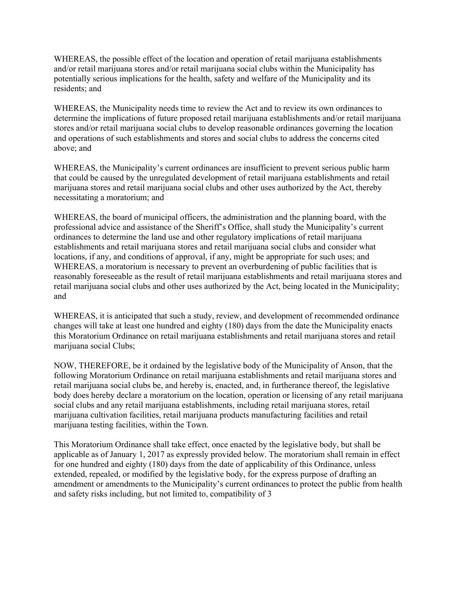WHEREAS, the possible effect of the location and operation of retail marijuana establishments and/or retail marijuana stores and/or retail marijuana social clubs within the Municipality has potentially serious implications for the health, safety and welfare of the Municipality and its residents; and

WHEREAS, the Municipality needs time to review the Act and to review its own ordinances to determine the implications of future proposed retail marijuana establishments and/or retail marijuana stores and/or retail marijuana social clubs to develop reasonable ordinances governing the location and operations of such establishments and stores and social clubs to address the concerns cited above; and

WHEREAS, the Municipality's current ordinances are insufficient to prevent serious public harm that could be caused by the unregulated development of retail marijuana establishments and retail marijuana stores and retail marijuana social clubs and other uses authorized by the Act, thereby necessitating a moratorium; and

WHEREAS, the board of municipal officers, the administration and the planning board, with the professional advice and assistance of the Sheriff's Office, shall study the Municipality's current ordinances to determine the land use and other regulatory implications of retail marijuana establishments and retail marijuana stores and retail marijuana social clubs and consider what locations, if any, and conditions of approval, if any, might be appropriate for such uses; and WHEREAS, a moratorium is necessary to prevent an overburdening of public facilities that is reasonably foreseeable as the result of retail marijuana establishments and retail marijuana stores and retail marijuana social clubs and other uses authorized by the Act, being located in the Municipality; and

WHEREAS, it is anticipated that such a study, review, and development of recommended ordinance changes will take at least one hundred and eighty (180) days from the date the Municipality enacts this Moratorium Ordinance on retail marijuana establishments and retail marijuana stores and retail marijuana social Clubs;

NOW, THEREFORE, be it ordained by the legislative body of the Municipality of Anson, that the following Moratorium Ordinance on retail marijuana establishments and retail marijuana stores and retail marijuana social clubs be, and hereby is, enacted, and, in furtherance thereof, the legislative body does hereby declare a moratorium on the location, operation or licensing of any retail marijuana social clubs and any retail marijuana establishments, including retail marijuana stores, retail marijuana cultivation facilities, retail marijuana products manufacturing facilities and retail marijuana testing facilities, within the Town.

This Moratorium Ordinance shall take effect, once enacted by the legislative body, but shall be applicable as of January 1, 2017 as expressly provided below. The moratorium shall remain in effect for one hundred and eighty (180) days from the date of applicability of this Ordinance, unless extended, repealed, or modified by the legislative body, for the express purpose of drafting an amendment or amendments to the Municipality's current ordinances to protect the public from health and safety risks including, but not limited to, compatibility of 3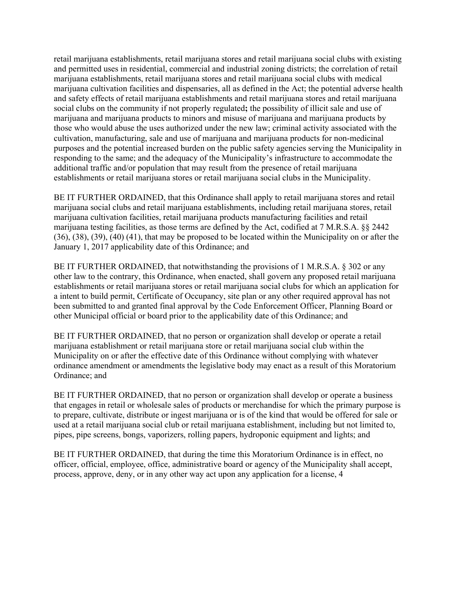retail marijuana establishments, retail marijuana stores and retail marijuana social clubs with existing and permitted uses in residential, commercial and industrial zoning districts; the correlation of retail marijuana establishments, retail marijuana stores and retail marijuana social clubs with medical marijuana cultivation facilities and dispensaries, all as defined in the Act; the potential adverse health and safety effects of retail marijuana establishments and retail marijuana stores and retail marijuana social clubs on the community if not properly regulated**;** the possibility of illicit sale and use of marijuana and marijuana products to minors and misuse of marijuana and marijuana products by those who would abuse the uses authorized under the new law; criminal activity associated with the cultivation, manufacturing, sale and use of marijuana and marijuana products for non-medicinal purposes and the potential increased burden on the public safety agencies serving the Municipality in responding to the same; and the adequacy of the Municipality's infrastructure to accommodate the additional traffic and/or population that may result from the presence of retail marijuana establishments or retail marijuana stores or retail marijuana social clubs in the Municipality.

BE IT FURTHER ORDAINED, that this Ordinance shall apply to retail marijuana stores and retail marijuana social clubs and retail marijuana establishments, including retail marijuana stores, retail marijuana cultivation facilities, retail marijuana products manufacturing facilities and retail marijuana testing facilities, as those terms are defined by the Act, codified at 7 M.R.S.A. §§ 2442 (36), (38), (39), (40) (41), that may be proposed to be located within the Municipality on or after the January 1, 2017 applicability date of this Ordinance; and

BE IT FURTHER ORDAINED, that notwithstanding the provisions of 1 M.R.S.A. § 302 or any other law to the contrary, this Ordinance, when enacted, shall govern any proposed retail marijuana establishments or retail marijuana stores or retail marijuana social clubs for which an application for a intent to build permit, Certificate of Occupancy, site plan or any other required approval has not been submitted to and granted final approval by the Code Enforcement Officer, Planning Board or other Municipal official or board prior to the applicability date of this Ordinance; and

BE IT FURTHER ORDAINED, that no person or organization shall develop or operate a retail marijuana establishment or retail marijuana store or retail marijuana social club within the Municipality on or after the effective date of this Ordinance without complying with whatever ordinance amendment or amendments the legislative body may enact as a result of this Moratorium Ordinance; and

BE IT FURTHER ORDAINED, that no person or organization shall develop or operate a business that engages in retail or wholesale sales of products or merchandise for which the primary purpose is to prepare, cultivate, distribute or ingest marijuana or is of the kind that would be offered for sale or used at a retail marijuana social club or retail marijuana establishment, including but not limited to, pipes, pipe screens, bongs, vaporizers, rolling papers, hydroponic equipment and lights; and

BE IT FURTHER ORDAINED, that during the time this Moratorium Ordinance is in effect, no officer, official, employee, office, administrative board or agency of the Municipality shall accept, process, approve, deny, or in any other way act upon any application for a license, 4